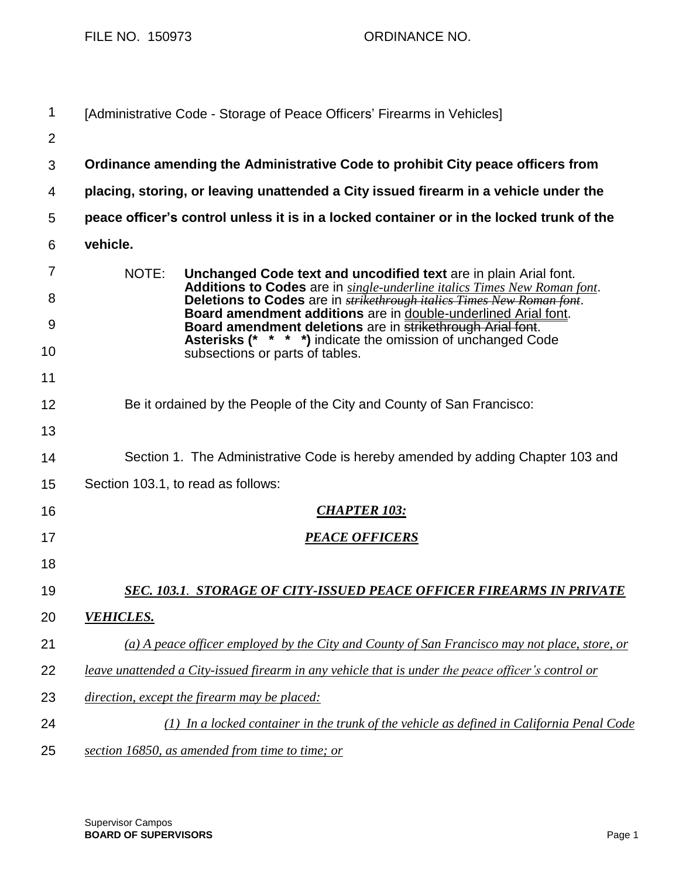FILE NO. 150973 ORDINANCE NO.

| 1       | [Administrative Code - Storage of Peace Officers' Firearms in Vehicles]                                                                                                                                                                                                                                  |
|---------|----------------------------------------------------------------------------------------------------------------------------------------------------------------------------------------------------------------------------------------------------------------------------------------------------------|
| 2       |                                                                                                                                                                                                                                                                                                          |
| 3       | Ordinance amending the Administrative Code to prohibit City peace officers from                                                                                                                                                                                                                          |
| 4       | placing, storing, or leaving unattended a City issued firearm in a vehicle under the                                                                                                                                                                                                                     |
| 5       | peace officer's control unless it is in a locked container or in the locked trunk of the                                                                                                                                                                                                                 |
| 6       | vehicle.                                                                                                                                                                                                                                                                                                 |
| 7<br>8  | NOTE:<br>Unchanged Code text and uncodified text are in plain Arial font.<br>Additions to Codes are in single-underline italics Times New Roman font.<br>Deletions to Codes are in <b>strikethrough italies Times New Roman font</b> .<br>Board amendment additions are in double-underlined Arial font. |
| 9<br>10 | Board amendment deletions are in strikethrough Arial font.<br>Asterisks (* * * *) indicate the omission of unchanged Code<br>subsections or parts of tables.                                                                                                                                             |
| 11      |                                                                                                                                                                                                                                                                                                          |
| 12      | Be it ordained by the People of the City and County of San Francisco:                                                                                                                                                                                                                                    |
| 13      |                                                                                                                                                                                                                                                                                                          |
| 14      | Section 1. The Administrative Code is hereby amended by adding Chapter 103 and                                                                                                                                                                                                                           |
| 15      | Section 103.1, to read as follows:                                                                                                                                                                                                                                                                       |
| 16      | <b>CHAPTER 103:</b>                                                                                                                                                                                                                                                                                      |
| 17      | <b>PEACE OFFICERS</b>                                                                                                                                                                                                                                                                                    |
| 18      |                                                                                                                                                                                                                                                                                                          |
| 19      | <u>SEC. 103.1. STORAGE OF CITY-ISSUED PEACE OFFICER FIREARMS IN PRIVATE</u>                                                                                                                                                                                                                              |
| 20      | <b>VEHICLES.</b>                                                                                                                                                                                                                                                                                         |
| 21      | (a) A peace officer employed by the City and County of San Francisco may not place, store, or                                                                                                                                                                                                            |
| 22      | leave unattended a City-issued firearm in any vehicle that is under the peace officer's control or                                                                                                                                                                                                       |
| 23      | direction, except the firearm may be placed:                                                                                                                                                                                                                                                             |
| 24      | (1) In a locked container in the trunk of the vehicle as defined in California Penal Code                                                                                                                                                                                                                |
| 25      | section 16850, as amended from time to time; or                                                                                                                                                                                                                                                          |

Supervisor Campos **BOARD OF SUPERVISORS** Page 1